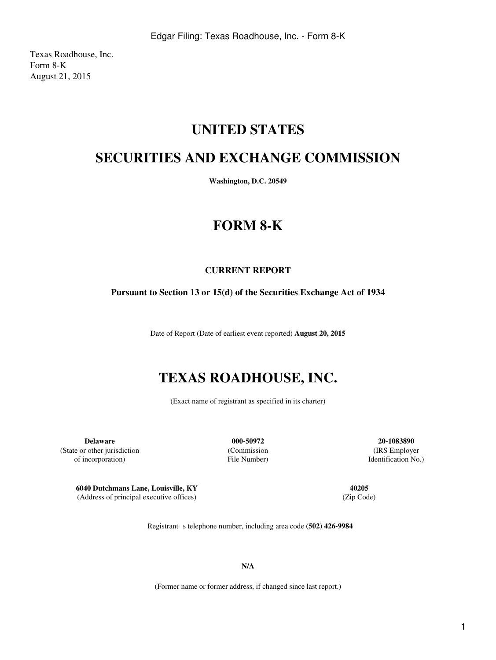Texas Roadhouse, Inc. Form 8-K August 21, 2015

## **UNITED STATES**

## **SECURITIES AND EXCHANGE COMMISSION**

**Washington, D.C. 20549**

# **FORM 8-K**

## **CURRENT REPORT**

### **Pursuant to Section 13 or 15(d) of the Securities Exchange Act of 1934**

Date of Report (Date of earliest event reported) **August 20, 2015**

# **TEXAS ROADHOUSE, INC.**

(Exact name of registrant as specified in its charter)

**Delaware 000-50972 20-1083890** (State or other jurisdiction (Commission (IRS Employer of incorporation) File Number) Identification No.)

**6040 Dutchmans Lane, Louisville, KY 40205** (Address of principal executive offices) (Zip Code)

Registrant s telephone number, including area code (502) 426-9984

**N/A**

(Former name or former address, if changed since last report.)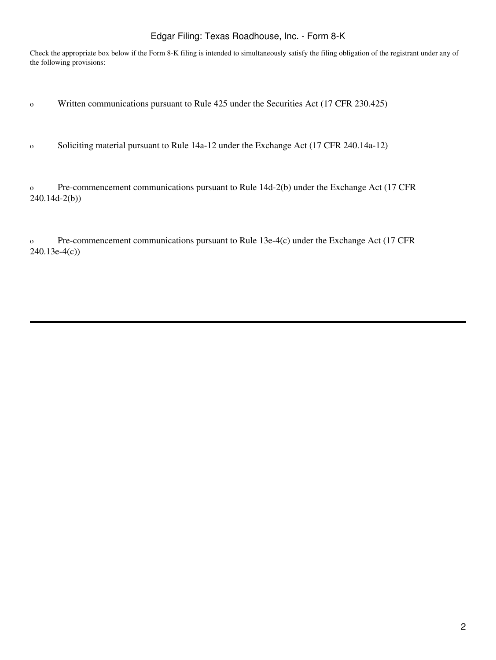### Edgar Filing: Texas Roadhouse, Inc. - Form 8-K

Check the appropriate box below if the Form 8-K filing is intended to simultaneously satisfy the filing obligation of the registrant under any of the following provisions:

- o Written communications pursuant to Rule 425 under the Securities Act (17 CFR 230.425)
- o Soliciting material pursuant to Rule 14a-12 under the Exchange Act (17 CFR 240.14a-12)

o Pre-commencement communications pursuant to Rule 14d-2(b) under the Exchange Act (17 CFR 240.14d-2(b))

o Pre-commencement communications pursuant to Rule 13e-4(c) under the Exchange Act (17 CFR 240.13e-4(c))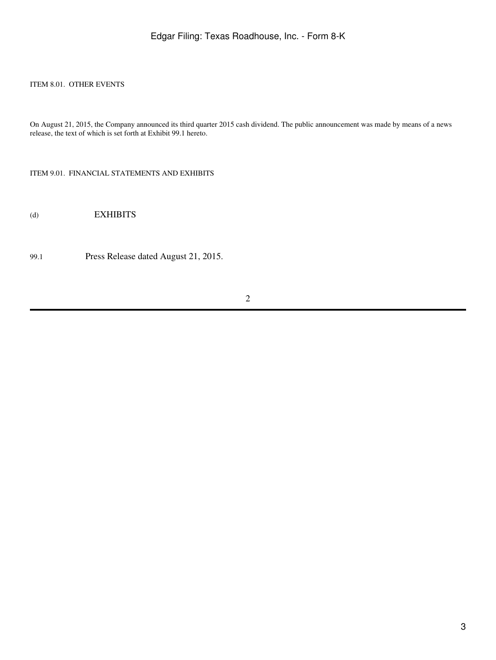#### ITEM 8.01. OTHER EVENTS

On August 21, 2015, the Company announced its third quarter 2015 cash dividend. The public announcement was made by means of a news release, the text of which is set forth at Exhibit 99.1 hereto.

ITEM 9.01. FINANCIAL STATEMENTS AND EXHIBITS

(d) EXHIBITS

99.1 Press Release dated August 21, 2015.

2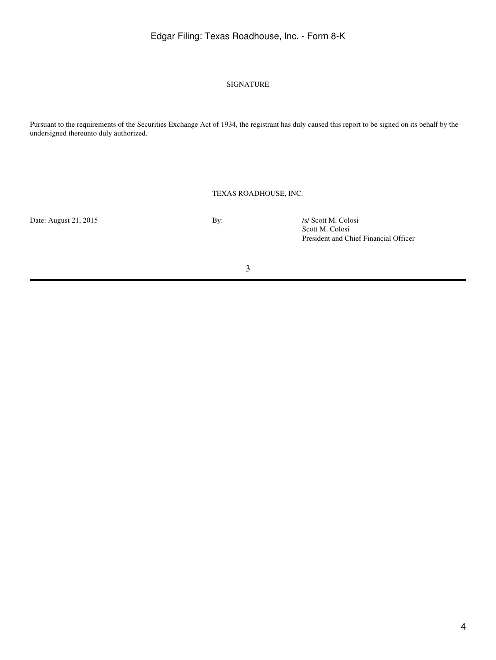## Edgar Filing: Texas Roadhouse, Inc. - Form 8-K

#### SIGNATURE

Pursuant to the requirements of the Securities Exchange Act of 1934, the registrant has duly caused this report to be signed on its behalf by the undersigned thereunto duly authorized.

#### TEXAS ROADHOUSE, INC.

Date: August 21, 2015 By: *Is/ Scott M. Colosi* 

Scott M. Colosi President and Chief Financial Officer

3